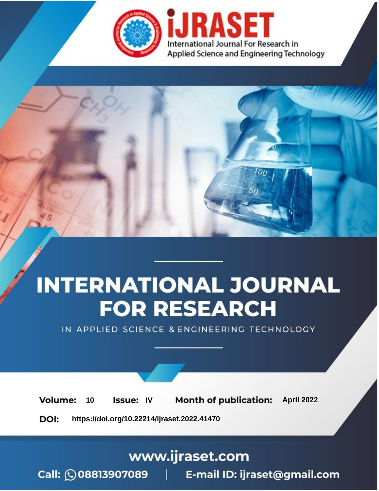

# **INTERNATIONAL JOURNAL FOR RESEARCH**

IN APPLIED SCIENCE & ENGINEERING TECHNOLOGY

10 **Issue: IV Month of publication:** April 2022 **Volume:** 

**https://doi.org/10.22214/ijraset.2022.41470**DOI:

www.ijraset.com

Call: 008813907089 | E-mail ID: ijraset@gmail.com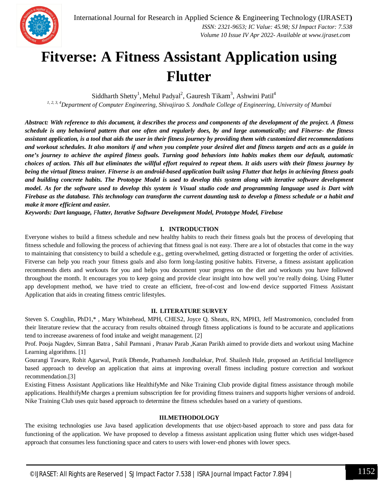

### **Fitverse: A Fitness Assistant Application using Flutter**

Siddharth Shetty<sup>1</sup>, Mehul Padyal<sup>2</sup>, Gauresh Tikam<sup>3</sup>, Ashwini Patil<sup>4</sup>

*1, 2, 3, 4Department of Computer Engineering, Shivajirao S. Jondhale College of Engineering, University of Mumbai*

*Abstract: With reference to this document, it describes the process and components of the development of the project. A fitness schedule is any behavioral pattern that one often and regularly does, by and large automatically; and Fitverse- the fitness assistant application, is a tool that aids the user in their fitness journey by providing them with customized diet recommendations and workout schedules. It also monitors if and when you complete your desired diet and fitness targets and acts as a guide in one's journey to achieve the aspired fitness goals. Turning good behaviors into habits makes them our default, automatic choices of action. This all but eliminates the willful effort required to repeat them. It aids users with their fitness journey by being the virtual fitness trainer. Fitverse is an android-based application built using Flutter that helps in achieving fitness goals and building concrete habits. The Prototype Model is used to develop this system along with iterative software development model. As for the software used to develop this system is Visual studio code and programming language used is Dart with Firebase as the database. This technology can transform the current daunting task to develop a fitness schedule or a habit and make it more efficient and easier.*

*Keywords: Dart language, Flutter, Iterative Software Development Model, Prototype Model, Firebase*

#### **I. INTRODUCTION**

Everyone wishes to build a fitness schedule and new healthy habits to reach their fitness goals but the process of developing that fitness schedule and following the process of achieving that fitness goal is not easy. There are a lot of obstacles that come in the way to maintaining that consistency to build a schedule e.g., getting overwhelmed, getting distracted or forgetting the order of activities. Fitverse can help you reach your fitness goals and also form long-lasting positive habits. Fitverse, a fitness assistant application recommends diets and workouts for you and helps you document your progress on the diet and workouts you have followed throughout the month. It encourages you to keep going and provide clear insight into how well you're really doing. Using Flutter app development method, we have tried to create an efficient, free-of-cost and low-end device supported Fitness Assistant Application that aids in creating fitness centric lifestyles.

#### **II. LITERATURE SURVEY**

Steven S. Coughlin, PhD1,\* , Mary Whitehead, MPH, CHES2, Joyce Q. Sheats, RN, MPH3, Jeff Mastromonico, concluded from their literature review that the accuracy from results obtained through fitness applications is found to be accurate and applications tend to increease awareness of food intake and weight management. [2]

Prof. Pooja Nagdev, Simran Batra , Sahil Pamnani , Pranav Parab ,Karan Parikh aimed to provide diets and workout using Machine Learning algorithms. [1]

Gourangi Taware, Rohit Agarwal, Pratik Dhende, Prathamesh Jondhalekar, Prof. Shailesh Hule, proposed an Artificial Intelligence based approach to develop an application that aims at improving overall fitness including posture correction and workout recommendation.[3]

Existing Fitness Assistant Applications like HealthifyMe and Nike Training Club provide digital fitness assistance through mobile applications. HealthifyMe charges a premium subsscription fee for providing fitness trainers and supports higher versions of android. Nike Training Club uses quiz based approach to determine the fitness schedules based on a variety of questions.

#### **III.METHODOLOGY**

The exisitng technologies use Java based application developments that use object-based approach to store and pass data for functioning of the application. We have proposed to develop a fitnesss assistant application using flutter which uses widget-based approach that consumes less functioning space and caters to users with lower-end phones with lower specs.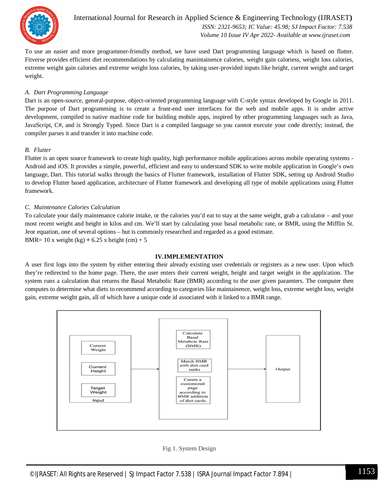

International Journal for Research in Applied Science & Engineering Technology (IJRASET**)**  *ISSN: 2321-9653; IC Value: 45.98; SJ Impact Factor: 7.538 Volume 10 Issue IV Apr 2022- Available at www.ijraset.com*

To use an easier and more programmer-friendly method, we have used Dart programming language which is based on flutter. Fitverse provides efficient diet recommendations by calculating manintainence calories, weight gain caloriess, weight loss calories, extreme weight gain calories and extreme weight loss calories, by taking user-provided inputs like height, current weight and target weight.

#### *A. Dart Programming Language*

Dart is an open-source, general-purpose, object-oriented programming language with C-style syntax developed by Google in 2011. The purpose of Dart programming is to create a front-end user interfaces for the web and mobile apps. It is under active development, compiled to native machine code for building mobile apps, inspired by other programming languages such as Java, JavaScript, C#, and is Strongly Typed. Since Dart is a compiled language so you cannot execute your code directly; instead, the compiler parses it and transfer it into machine code.

#### *B. Flutter*

Flutter is an open source framework to create high quality, high performance mobile applications across mobile operating systems - Android and iOS. It provides a simple, powerful, efficient and easy to understand SDK to write mobile application in Google's own language, Dart. This tutorial walks through the basics of Flutter framework, installation of Flutter SDK, setting up Android Studio to develop Flutter based application, architecture of Flutter framework and developing all type of mobile applications using Flutter framework.

#### *C. Maintenance Calories Calculation*

To calculate your daily maintenance calorie intake, or the calories you'd eat to stay at the same weight, grab a calculator – and your most recent weight and height in kilos and cm. We'll start by calculating your basal metabolic rate, or BMR, using the Mifflin St. Jeor equation, one of several options – but is commonly researched and regarded as a good estimate. BMR=  $10 x$  weight (kg) +  $6.25 x$  height (cm) +  $5$ 

#### **IV.IMPLEMENTATION**

A user first logs into the system by either entering their already existing user credentials or registers as a new user. Upon which they're redirected to the home page. There, the user enters their current weight, height and target weight in the application. The system runs a calculation that returns the Basal Metabolic Rate (BMR) according to the user given paramters. The computer then computes to determine what diets to recommend according to categories like maintainence, weight loss, extreme weight loss, weight gain, extreme weight gain, all of which have a unique code id associated with it linked to a BMR range.



#### Fig 1. System Design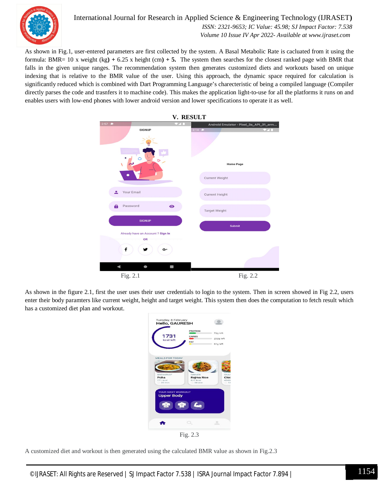

#### International Journal for Research in Applied Science & Engineering Technology (IJRASET**)**  *ISSN: 2321-9653; IC Value: 45.98; SJ Impact Factor: 7.538 Volume 10 Issue IV Apr 2022- Available at www.ijraset.com*

As shown in Fig.1, user-entered parameters are first collected by the system. A Basal Metabolic Rate is cacluated from it using the formula: BMR= 10 x weight (kg**) +** 6.25 x height (cm**) + 5.** The system then searches for the closest ranked page with BMR that falls in the given unique ranges. The recommendation system then generates customized diets and workouts based on unique indexing that is relative to the BMR value of the user. Using this approach, the dynamic space required for calculation is significantly reduced which is combined with Dart Programming Language's charecteristic of being a compiled language (Compiler directly parses the code and trasnfers it to machine code). This makes the application light-to-use for all the platforms it runs on and enables users with low-end phones with lower android version and lower specifications to operate it as well.



As shown in the figure 2.1, first the user uses their user credentials to login to the system. Then in screen showed in Fig 2.2, users enter their body paramters like current weight, height and target weight. This system then does the computation to fetch result which has a customized diet plan and workout.



A customized diet and workout is then generated using the calculated BMR value as shown in Fig.2.3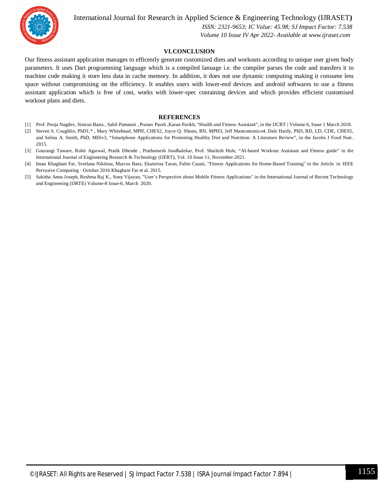

International Journal for Research in Applied Science & Engineering Technology (IJRASET**)**

 *ISSN: 2321-9653; IC Value: 45.98; SJ Impact Factor: 7.538 Volume 10 Issue IV Apr 2022- Available at www.ijraset.com*

#### **VI.CONCLUSION**

Our fitness assistant application manages to efficently generate customized diets and workouts according to unique user given body parameters. It uses Dart programming language which is a compiled lanuage i.e. the compiler parses the code and transfers it to machine code making it store less data in cache memory. In addition, it does not use dynamic computing making it consume less space without compromising on the efficiency. It enables users with lower-end devices and android softwares to use a fitness assistant application which is free of cost, works with lower-spec containing devices and which provides efficient customised workout plans and diets.

#### **REFERENCES**

- [1] Prof. Pooja Nagdev, Simran Batra , Sahil Pamnani , Pranav Parab ,Karan Parikh, "Health and Fitness Assistant", in the IJCRT | Volume 6, Issue 1 March 2018.
- [2] Steven S. Coughlin, PhD1,\*, Mary Whitehead, MPH, CHES2, Joyce Q. Sheats, RN, MPH3, Jeff Mastromonico4, Dale Hardy, PhD, RD, LD, CDE, CHES5, and Selina A. Smith, PhD, MDiv3, "Smartphone Applications for Promoting Healthy Diet and Nutrition: A Literature Review", in the Jacobs J Food Nutr. 2015.
- [3] Gourangi Taware, Rohit Agarwal, Pratik Dhende , Prathamesh Jondhalekar, Prof. Shailesh Hule, "AI-based Workout Assistant and Fitness guide" in the International Journal of Engineering Research & Technology (IJERT), Vol. 10 Issue 11, November-2021.
- [4] Iman Khaghani Far, Svetlana Nikitina, Marcos Baez, Ekaterina Taran, Fabio Casati, "Fitness Applications for Home-Based Training" in the Article in IEEE Pervasive Computing · October 2016 Khaghani Far et al. 2015.
- [5] Sakitha Anna Joseph, Reshma Raj K., Sony Vijayan, "User's Perspective about Mobile Fitness Applications" in the International Journal of Recent Technology and Engineering (IJRTE) Volume-8 Issue-6, March 2020.